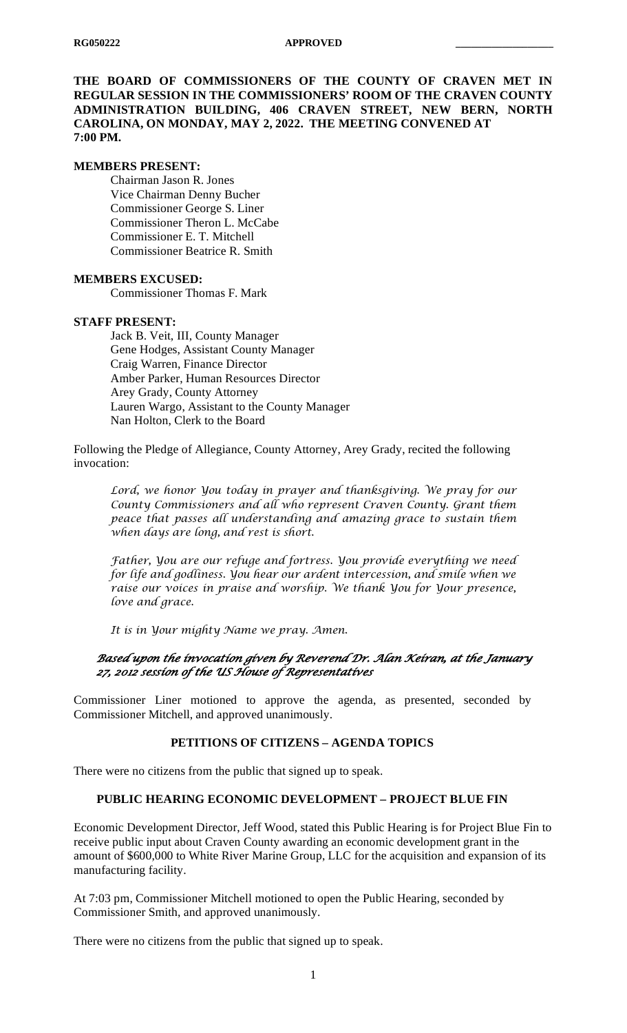**THE BOARD OF COMMISSIONERS OF THE COUNTY OF CRAVEN MET IN REGULAR SESSION IN THE COMMISSIONERS' ROOM OF THE CRAVEN COUNTY ADMINISTRATION BUILDING, 406 CRAVEN STREET, NEW BERN, NORTH CAROLINA, ON MONDAY, MAY 2, 2022. THE MEETING CONVENED AT 7:00 PM.**

#### **MEMBERS PRESENT:**

Chairman Jason R. Jones Vice Chairman Denny Bucher Commissioner George S. Liner Commissioner Theron L. McCabe Commissioner E. T. Mitchell Commissioner Beatrice R. Smith

#### **MEMBERS EXCUSED:**

Commissioner Thomas F. Mark

#### **STAFF PRESENT:**

Jack B. Veit, III, County Manager Gene Hodges, Assistant County Manager Craig Warren, Finance Director Amber Parker, Human Resources Director Arey Grady, County Attorney Lauren Wargo, Assistant to the County Manager Nan Holton, Clerk to the Board

Following the Pledge of Allegiance, County Attorney, Arey Grady, recited the following invocation:

*Lord, we honor You today in prayer and thanksgiving. We pray for our County Commissioners and all who represent Craven County. Grant them peace that passes all understanding and amazing grace to sustain them when days are long, and rest is short.*

*Father, You are our refuge and fortress. You provide everything we need for life and godliness. You hear our ardent intercession, and smile when we raise our voices in praise and worship. We thank You for Your presence, love and grace.*

*It is in Your mighty Name we pray. Amen.*

### *Based upon the invocation given by Reverend Dr. Alan Keiran, at the January 27, 2012 session of the US House of Representatives*

Commissioner Liner motioned to approve the agenda, as presented, seconded by Commissioner Mitchell, and approved unanimously.

## **PETITIONS OF CITIZENS – AGENDA TOPICS**

There were no citizens from the public that signed up to speak.

### **PUBLIC HEARING ECONOMIC DEVELOPMENT – PROJECT BLUE FIN**

Economic Development Director, Jeff Wood, stated this Public Hearing is for Project Blue Fin to receive public input about Craven County awarding an economic development grant in the amount of \$600,000 to White River Marine Group, LLC for the acquisition and expansion of its manufacturing facility.

At 7:03 pm, Commissioner Mitchell motioned to open the Public Hearing, seconded by Commissioner Smith, and approved unanimously.

There were no citizens from the public that signed up to speak.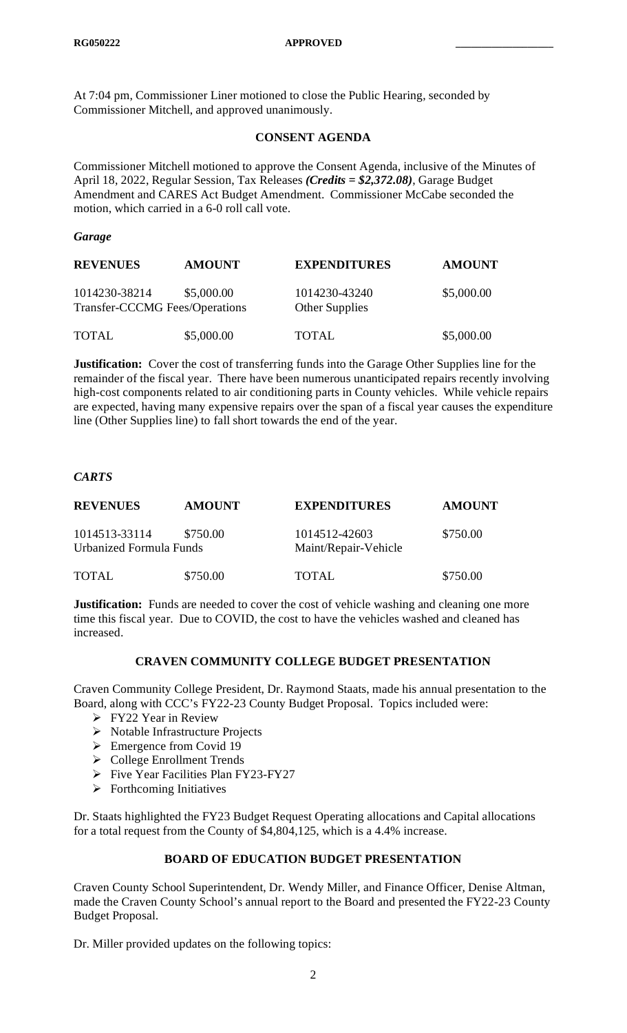At 7:04 pm, Commissioner Liner motioned to close the Public Hearing, seconded by Commissioner Mitchell, and approved unanimously.

### **CONSENT AGENDA**

Commissioner Mitchell motioned to approve the Consent Agenda, inclusive of the Minutes of April 18, 2022, Regular Session, Tax Releases *(Credits = \$2,372.08)*, Garage Budget Amendment and CARES Act Budget Amendment. Commissioner McCabe seconded the motion, which carried in a 6-0 roll call vote.

#### *Garage*

| <b>REVENUES</b>                                 | <b>AMOUNT</b> | <b>EXPENDITURES</b>             | <b>AMOUNT</b> |
|-------------------------------------------------|---------------|---------------------------------|---------------|
| 1014230-38214<br>Transfer-CCCMG Fees/Operations | \$5,000.00    | 1014230-43240<br>Other Supplies | \$5,000.00    |
| <b>TOTAL</b>                                    | \$5,000.00    | <b>TOTAL</b>                    | \$5,000.00    |

**Justification:** Cover the cost of transferring funds into the Garage Other Supplies line for the remainder of the fiscal year. There have been numerous unanticipated repairs recently involving high-cost components related to air conditioning parts in County vehicles. While vehicle repairs are expected, having many expensive repairs over the span of a fiscal year causes the expenditure line (Other Supplies line) to fall short towards the end of the year.

## *CARTS*

| <b>REVENUES</b>                          | <b>AMOUNT</b> | <b>EXPENDITURES</b>                   | <b>AMOUNT</b> |
|------------------------------------------|---------------|---------------------------------------|---------------|
| 1014513-33114<br>Urbanized Formula Funds | \$750.00      | 1014512-42603<br>Maint/Repair-Vehicle | \$750.00      |
| <b>TOTAL</b>                             | \$750.00      | TOTAL.                                | \$750.00      |

**Justification:** Funds are needed to cover the cost of vehicle washing and cleaning one more time this fiscal year. Due to COVID, the cost to have the vehicles washed and cleaned has increased.

### **CRAVEN COMMUNITY COLLEGE BUDGET PRESENTATION**

Craven Community College President, Dr. Raymond Staats, made his annual presentation to the Board, along with CCC's FY22-23 County Budget Proposal. Topics included were:

- FY22 Year in Review
- $\triangleright$  Notable Infrastructure Projects
- $\triangleright$  Emergence from Covid 19
- College Enrollment Trends
- $\triangleright$  Five Year Facilities Plan FY23-FY27
- $\triangleright$  Forthcoming Initiatives

Dr. Staats highlighted the FY23 Budget Request Operating allocations and Capital allocations for a total request from the County of \$4,804,125, which is a 4.4% increase.

## **BOARD OF EDUCATION BUDGET PRESENTATION**

Craven County School Superintendent, Dr. Wendy Miller, and Finance Officer, Denise Altman, made the Craven County School's annual report to the Board and presented the FY22-23 County Budget Proposal.

Dr. Miller provided updates on the following topics: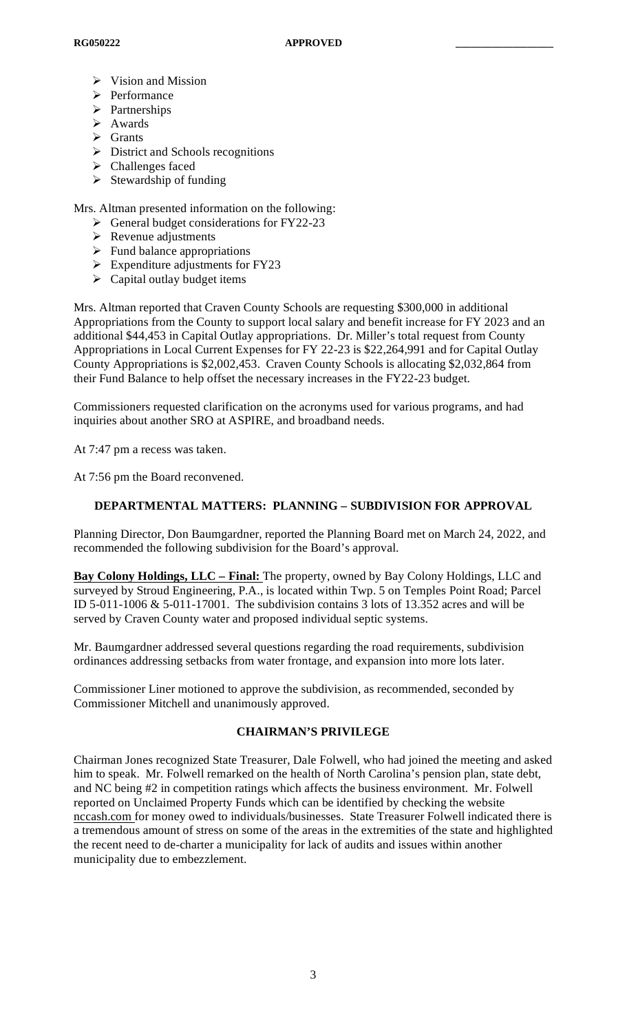- $\triangleright$  Vision and Mission
- > Performance
- > Partnerships
- Awards
- $\triangleright$  Grants
- $\triangleright$  District and Schools recognitions
- > Challenges faced
- $\triangleright$  Stewardship of funding

Mrs. Altman presented information on the following:

- $\triangleright$  General budget considerations for FY22-23
- $\triangleright$  Revenue adjustments
- $\triangleright$  Fund balance appropriations
- $\triangleright$  Expenditure adjustments for FY23
- $\triangleright$  Capital outlay budget items

Mrs. Altman reported that Craven County Schools are requesting \$300,000 in additional Appropriations from the County to support local salary and benefit increase for FY 2023 and an additional \$44,453 in Capital Outlay appropriations. Dr. Miller's total request from County Appropriations in Local Current Expenses for FY 22-23 is \$22,264,991 and for Capital Outlay County Appropriations is \$2,002,453. Craven County Schools is allocating \$2,032,864 from their Fund Balance to help offset the necessary increases in the FY22-23 budget.

Commissioners requested clarification on the acronyms used for various programs, and had inquiries about another SRO at ASPIRE, and broadband needs.

At 7:47 pm a recess was taken.

At 7:56 pm the Board reconvened.

### **DEPARTMENTAL MATTERS: PLANNING – SUBDIVISION FOR APPROVAL**

Planning Director, Don Baumgardner, reported the Planning Board met on March 24, 2022, and recommended the following subdivision for the Board's approval.

**Bay Colony Holdings, LLC – Final:** The property, owned by Bay Colony Holdings, LLC and surveyed by Stroud Engineering, P.A., is located within Twp. 5 on Temples Point Road; Parcel ID 5-011-1006 & 5-011-17001. The subdivision contains 3 lots of 13.352 acres and will be served by Craven County water and proposed individual septic systems.

Mr. Baumgardner addressed several questions regarding the road requirements, subdivision ordinances addressing setbacks from water frontage, and expansion into more lots later.

Commissioner Liner motioned to approve the subdivision, as recommended, seconded by Commissioner Mitchell and unanimously approved.

### **CHAIRMAN'S PRIVILEGE**

Chairman Jones recognized State Treasurer, Dale Folwell, who had joined the meeting and asked him to speak. Mr. Folwell remarked on the health of North Carolina's pension plan, state debt, and NC being #2 in competition ratings which affects the business environment. Mr. Folwell reported on Unclaimed Property Funds which can be identified by checking the website nccash.com for money owed to individuals/businesses. State Treasurer Folwell indicated there is a tremendous amount of stress on some of the areas in the extremities of the state and highlighted the recent need to de-charter a municipality for lack of audits and issues within another municipality due to embezzlement.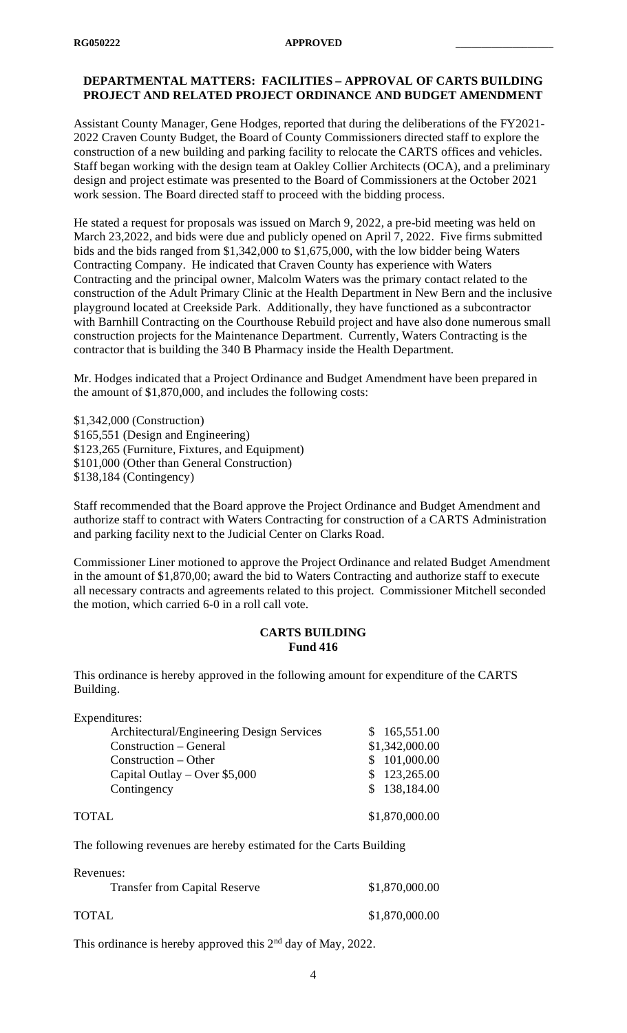## **DEPARTMENTAL MATTERS: FACILITIES – APPROVAL OF CARTS BUILDING PROJECT AND RELATED PROJECT ORDINANCE AND BUDGET AMENDMENT**

Assistant County Manager, Gene Hodges, reported that during the deliberations of the FY2021- 2022 Craven County Budget, the Board of County Commissioners directed staff to explore the construction of a new building and parking facility to relocate the CARTS offices and vehicles. Staff began working with the design team at Oakley Collier Architects (OCA), and a preliminary design and project estimate was presented to the Board of Commissioners at the October 2021 work session. The Board directed staff to proceed with the bidding process.

He stated a request for proposals was issued on March 9, 2022, a pre-bid meeting was held on March 23,2022, and bids were due and publicly opened on April 7, 2022. Five firms submitted bids and the bids ranged from \$1,342,000 to \$1,675,000, with the low bidder being Waters Contracting Company. He indicated that Craven County has experience with Waters Contracting and the principal owner, Malcolm Waters was the primary contact related to the construction of the Adult Primary Clinic at the Health Department in New Bern and the inclusive playground located at Creekside Park. Additionally, they have functioned as a subcontractor with Barnhill Contracting on the Courthouse Rebuild project and have also done numerous small construction projects for the Maintenance Department. Currently, Waters Contracting is the contractor that is building the 340 B Pharmacy inside the Health Department.

Mr. Hodges indicated that a Project Ordinance and Budget Amendment have been prepared in the amount of \$1,870,000, and includes the following costs:

\$1,342,000 (Construction) \$165,551 (Design and Engineering) \$123,265 (Furniture, Fixtures, and Equipment) \$101,000 (Other than General Construction) \$138,184 (Contingency)

Staff recommended that the Board approve the Project Ordinance and Budget Amendment and authorize staff to contract with Waters Contracting for construction of a CARTS Administration and parking facility next to the Judicial Center on Clarks Road.

Commissioner Liner motioned to approve the Project Ordinance and related Budget Amendment in the amount of \$1,870,00; award the bid to Waters Contracting and authorize staff to execute all necessary contracts and agreements related to this project. Commissioner Mitchell seconded the motion, which carried 6-0 in a roll call vote.

#### **CARTS BUILDING Fund 416**

This ordinance is hereby approved in the following amount for expenditure of the CARTS Building.

| Expenditures:                             |                |
|-------------------------------------------|----------------|
| Architectural/Engineering Design Services | \$165,551.00   |
| Construction – General                    | \$1,342,000.00 |
| Construction – Other                      | \$101,000.00   |
| Capital Outlay – Over $$5,000$            | \$123,265.00   |
| Contingency                               | \$138,184.00   |
| TOTAL                                     | \$1,870,000.00 |

The following revenues are hereby estimated for the Carts Building

| Revenues:                            |                |
|--------------------------------------|----------------|
| <b>Transfer from Capital Reserve</b> | \$1,870,000.00 |
| TOTAL                                | \$1,870,000.00 |

This ordinance is hereby approved this 2<sup>nd</sup> day of May, 2022.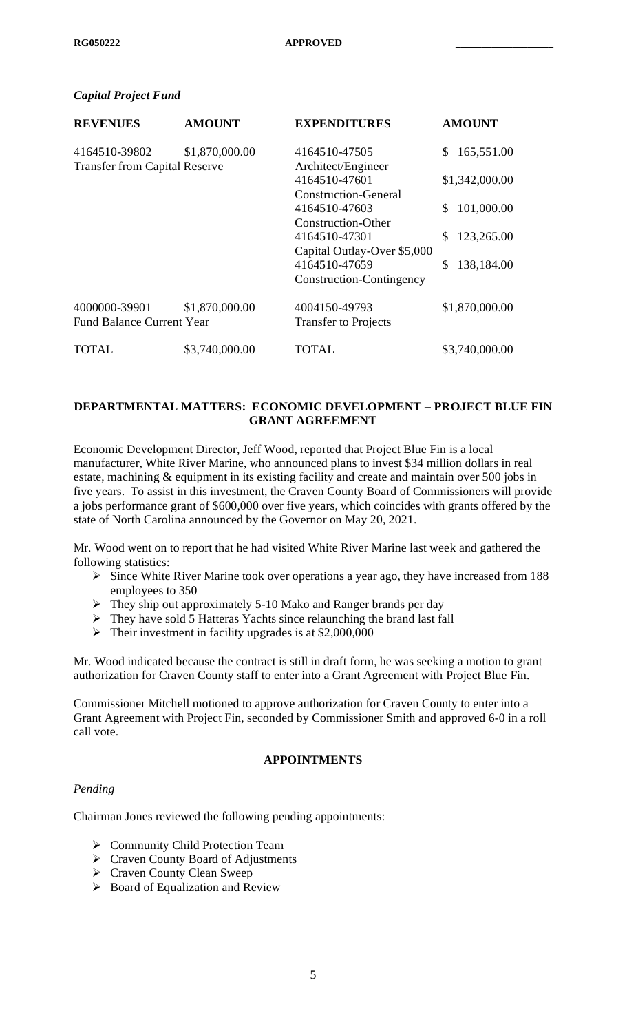## *Capital Project Fund*

| <b>REVENUES</b>                      | <b>AMOUNT</b>  | <b>EXPENDITURES</b>         | <b>AMOUNT</b>     |
|--------------------------------------|----------------|-----------------------------|-------------------|
| 4164510-39802                        | \$1,870,000.00 | 4164510-47505               | 165,551.00<br>\$. |
| <b>Transfer from Capital Reserve</b> |                | Architect/Engineer          |                   |
|                                      |                | 4164510-47601               | \$1,342,000.00    |
|                                      |                | <b>Construction-General</b> |                   |
|                                      |                | 4164510-47603               | 101,000.00<br>\$. |
|                                      |                | Construction-Other          |                   |
|                                      |                | 4164510-47301               | 123,265.00<br>\$. |
|                                      |                | Capital Outlay-Over \$5,000 |                   |
|                                      |                | 4164510-47659               | 138,184.00<br>S   |
|                                      |                | Construction-Contingency    |                   |
| 4000000-39901                        | \$1,870,000.00 | 4004150-49793               | \$1,870,000.00    |
| <b>Fund Balance Current Year</b>     |                | <b>Transfer to Projects</b> |                   |
| TOTAL                                | \$3,740,000.00 | TOTAL                       | \$3,740,000.00    |

## **DEPARTMENTAL MATTERS: ECONOMIC DEVELOPMENT – PROJECT BLUE FIN GRANT AGREEMENT**

Economic Development Director, Jeff Wood, reported that Project Blue Fin is a local manufacturer, White River Marine, who announced plans to invest \$34 million dollars in real estate, machining & equipment in its existing facility and create and maintain over 500 jobs in five years. To assist in this investment, the Craven County Board of Commissioners will provide a jobs performance grant of \$600,000 over five years, which coincides with grants offered by the state of North Carolina announced by the Governor on May 20, 2021.

Mr. Wood went on to report that he had visited White River Marine last week and gathered the following statistics:

- $\triangleright$  Since White River Marine took over operations a year ago, they have increased from 188 employees to 350
- They ship out approximately 5-10 Mako and Ranger brands per day
- $\triangleright$  They have sold 5 Hatteras Yachts since relaunching the brand last fall
- $\blacktriangleright$  Their investment in facility upgrades is at \$2,000,000

Mr. Wood indicated because the contract is still in draft form, he was seeking a motion to grant authorization for Craven County staff to enter into a Grant Agreement with Project Blue Fin.

Commissioner Mitchell motioned to approve authorization for Craven County to enter into a Grant Agreement with Project Fin, seconded by Commissioner Smith and approved 6-0 in a roll call vote.

#### **APPOINTMENTS**

#### *Pending*

Chairman Jones reviewed the following pending appointments:

- ▶ Community Child Protection Team
- Craven County Board of Adjustments
- Craven County Clean Sweep
- $\triangleright$  Board of Equalization and Review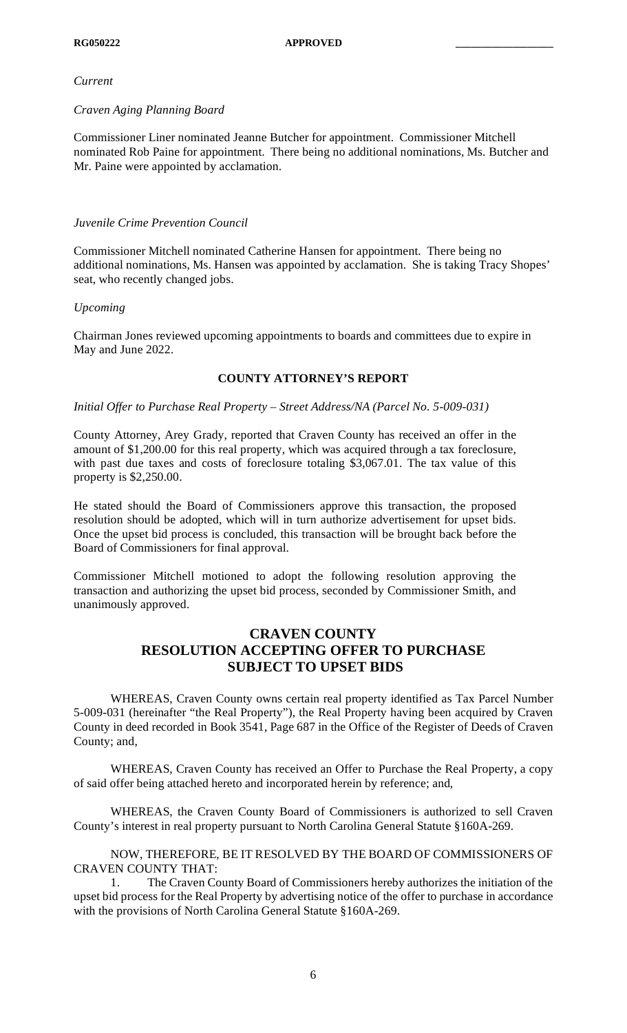#### *Current*

# *Craven Aging Planning Board*

Commissioner Liner nominated Jeanne Butcher for appointment. Commissioner Mitchell nominated Rob Paine for appointment. There being no additional nominations, Ms. Butcher and Mr. Paine were appointed by acclamation.

# *Juvenile Crime Prevention Council*

Commissioner Mitchell nominated Catherine Hansen for appointment. There being no additional nominations, Ms. Hansen was appointed by acclamation. She is taking Tracy Shopes' seat, who recently changed jobs.

# *Upcoming*

Chairman Jones reviewed upcoming appointments to boards and committees due to expire in May and June 2022.

# **COUNTY ATTORNEY'S REPORT**

# *Initial Offer to Purchase Real Property – Street Address/NA (Parcel No. 5-009-031)*

County Attorney, Arey Grady, reported that Craven County has received an offer in the amount of \$1,200.00 for this real property, which was acquired through a tax foreclosure, with past due taxes and costs of foreclosure totaling \$3,067.01. The tax value of this property is \$2,250.00.

He stated should the Board of Commissioners approve this transaction, the proposed resolution should be adopted, which will in turn authorize advertisement for upset bids. Once the upset bid process is concluded, this transaction will be brought back before the Board of Commissioners for final approval.

Commissioner Mitchell motioned to adopt the following resolution approving the transaction and authorizing the upset bid process, seconded by Commissioner Smith, and unanimously approved.

# **CRAVEN COUNTY RESOLUTION ACCEPTING OFFER TO PURCHASE SUBJECT TO UPSET BIDS**

WHEREAS, Craven County owns certain real property identified as Tax Parcel Number 5-009-031 (hereinafter "the Real Property"), the Real Property having been acquired by Craven County in deed recorded in Book 3541, Page 687 in the Office of the Register of Deeds of Craven County; and,

WHEREAS, Craven County has received an Offer to Purchase the Real Property, a copy of said offer being attached hereto and incorporated herein by reference; and,

WHEREAS, the Craven County Board of Commissioners is authorized to sell Craven County's interest in real property pursuant to North Carolina General Statute §160A-269.

NOW, THEREFORE, BE IT RESOLVED BY THE BOARD OF COMMISSIONERS OF CRAVEN COUNTY THAT:

1. The Craven County Board of Commissioners hereby authorizes the initiation of the upset bid process for the Real Property by advertising notice of the offer to purchase in accordance with the provisions of North Carolina General Statute §160A-269.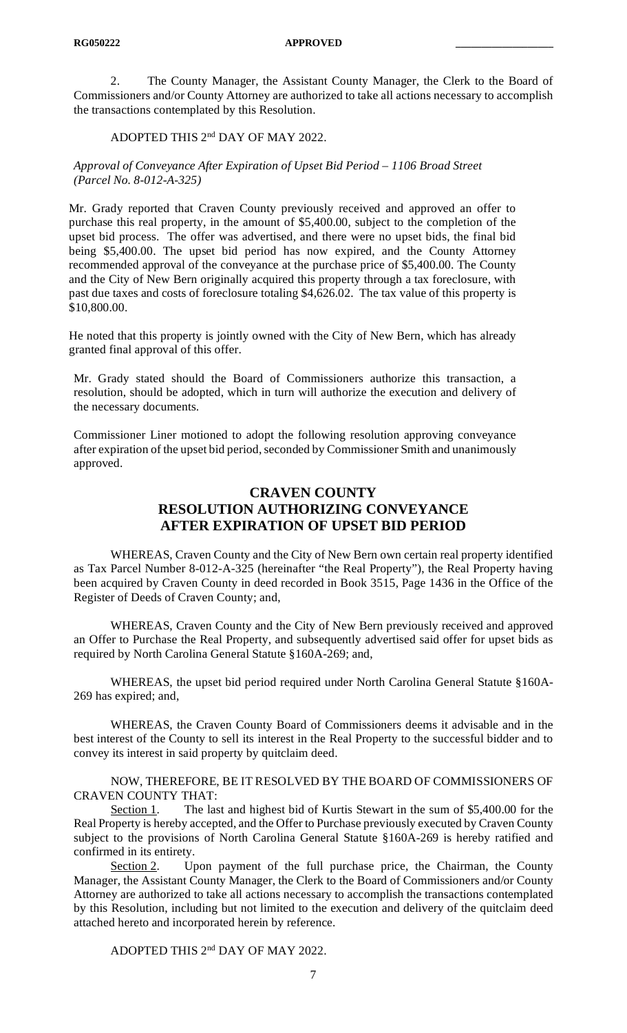**RG050222 APPROVED \_\_\_\_\_\_\_\_\_\_\_\_\_\_\_\_\_\_\_** 

2. The County Manager, the Assistant County Manager, the Clerk to the Board of Commissioners and/or County Attorney are authorized to take all actions necessary to accomplish the transactions contemplated by this Resolution.

### ADOPTED THIS 2nd DAY OF MAY 2022.

*Approval of Conveyance After Expiration of Upset Bid Period – 1106 Broad Street (Parcel No. 8-012-A-325)*

Mr. Grady reported that Craven County previously received and approved an offer to purchase this real property, in the amount of \$5,400.00, subject to the completion of the upset bid process. The offer was advertised, and there were no upset bids, the final bid being \$5,400.00. The upset bid period has now expired, and the County Attorney recommended approval of the conveyance at the purchase price of \$5,400.00. The County and the City of New Bern originally acquired this property through a tax foreclosure, with past due taxes and costs of foreclosure totaling \$4,626.02. The tax value of this property is \$10,800.00.

He noted that this property is jointly owned with the City of New Bern, which has already granted final approval of this offer.

Mr. Grady stated should the Board of Commissioners authorize this transaction, a resolution, should be adopted, which in turn will authorize the execution and delivery of the necessary documents.

Commissioner Liner motioned to adopt the following resolution approving conveyance after expiration of the upset bid period, seconded by Commissioner Smith and unanimously approved.

# **CRAVEN COUNTY RESOLUTION AUTHORIZING CONVEYANCE AFTER EXPIRATION OF UPSET BID PERIOD**

WHEREAS, Craven County and the City of New Bern own certain real property identified as Tax Parcel Number 8-012-A-325 (hereinafter "the Real Property"), the Real Property having been acquired by Craven County in deed recorded in Book 3515, Page 1436 in the Office of the Register of Deeds of Craven County; and,

WHEREAS, Craven County and the City of New Bern previously received and approved an Offer to Purchase the Real Property, and subsequently advertised said offer for upset bids as required by North Carolina General Statute §160A-269; and,

WHEREAS, the upset bid period required under North Carolina General Statute §160A-269 has expired; and,

WHEREAS, the Craven County Board of Commissioners deems it advisable and in the best interest of the County to sell its interest in the Real Property to the successful bidder and to convey its interest in said property by quitclaim deed.

NOW, THEREFORE, BE IT RESOLVED BY THE BOARD OF COMMISSIONERS OF CRAVEN COUNTY THAT:

Section 1. The last and highest bid of Kurtis Stewart in the sum of \$5,400.00 for the Real Property is hereby accepted, and the Offer to Purchase previously executed by Craven County subject to the provisions of North Carolina General Statute §160A-269 is hereby ratified and confirmed in its entirety.

Section 2. Upon payment of the full purchase price, the Chairman, the County Manager, the Assistant County Manager, the Clerk to the Board of Commissioners and/or County Attorney are authorized to take all actions necessary to accomplish the transactions contemplated by this Resolution, including but not limited to the execution and delivery of the quitclaim deed attached hereto and incorporated herein by reference.

ADOPTED THIS 2nd DAY OF MAY 2022.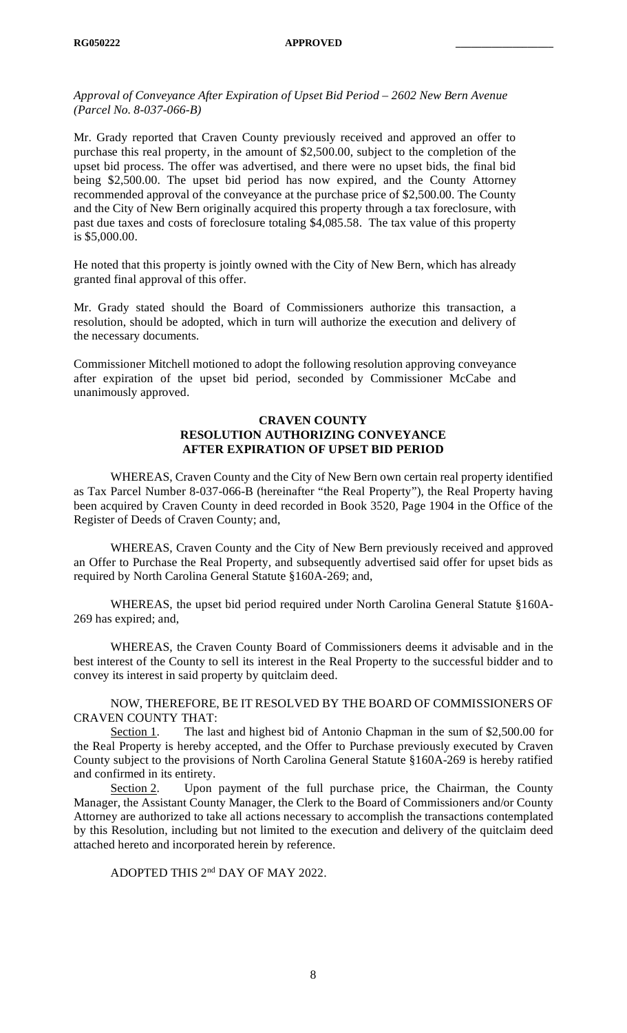*Approval of Conveyance After Expiration of Upset Bid Period – 2602 New Bern Avenue (Parcel No. 8-037-066-B)*

Mr. Grady reported that Craven County previously received and approved an offer to purchase this real property, in the amount of \$2,500.00, subject to the completion of the upset bid process. The offer was advertised, and there were no upset bids, the final bid being \$2,500.00. The upset bid period has now expired, and the County Attorney recommended approval of the conveyance at the purchase price of \$2,500.00. The County and the City of New Bern originally acquired this property through a tax foreclosure, with past due taxes and costs of foreclosure totaling \$4,085.58. The tax value of this property is \$5,000.00.

He noted that this property is jointly owned with the City of New Bern, which has already granted final approval of this offer.

Mr. Grady stated should the Board of Commissioners authorize this transaction, a resolution, should be adopted, which in turn will authorize the execution and delivery of the necessary documents.

Commissioner Mitchell motioned to adopt the following resolution approving conveyance after expiration of the upset bid period, seconded by Commissioner McCabe and unanimously approved.

### **CRAVEN COUNTY RESOLUTION AUTHORIZING CONVEYANCE AFTER EXPIRATION OF UPSET BID PERIOD**

WHEREAS, Craven County and the City of New Bern own certain real property identified as Tax Parcel Number 8-037-066-B (hereinafter "the Real Property"), the Real Property having been acquired by Craven County in deed recorded in Book 3520, Page 1904 in the Office of the Register of Deeds of Craven County; and,

WHEREAS, Craven County and the City of New Bern previously received and approved an Offer to Purchase the Real Property, and subsequently advertised said offer for upset bids as required by North Carolina General Statute §160A-269; and,

WHEREAS, the upset bid period required under North Carolina General Statute §160A-269 has expired; and,

WHEREAS, the Craven County Board of Commissioners deems it advisable and in the best interest of the County to sell its interest in the Real Property to the successful bidder and to convey its interest in said property by quitclaim deed.

NOW, THEREFORE, BE IT RESOLVED BY THE BOARD OF COMMISSIONERS OF CRAVEN COUNTY THAT:

Section 1. The last and highest bid of Antonio Chapman in the sum of \$2,500.00 for the Real Property is hereby accepted, and the Offer to Purchase previously executed by Craven County subject to the provisions of North Carolina General Statute §160A-269 is hereby ratified and confirmed in its entirety.

Section 2. Upon payment of the full purchase price, the Chairman, the County Manager, the Assistant County Manager, the Clerk to the Board of Commissioners and/or County Attorney are authorized to take all actions necessary to accomplish the transactions contemplated by this Resolution, including but not limited to the execution and delivery of the quitclaim deed attached hereto and incorporated herein by reference.

ADOPTED THIS 2nd DAY OF MAY 2022.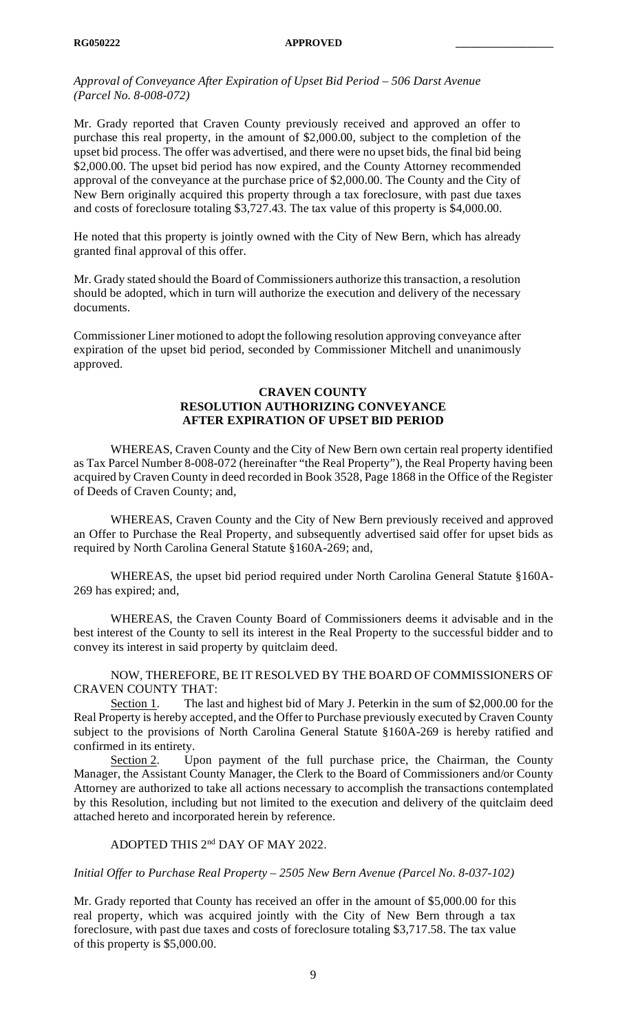*Approval of Conveyance After Expiration of Upset Bid Period – 506 Darst Avenue (Parcel No. 8-008-072)*

Mr. Grady reported that Craven County previously received and approved an offer to purchase this real property, in the amount of \$2,000.00, subject to the completion of the upset bid process. The offer was advertised, and there were no upset bids, the final bid being \$2,000.00. The upset bid period has now expired, and the County Attorney recommended approval of the conveyance at the purchase price of \$2,000.00. The County and the City of New Bern originally acquired this property through a tax foreclosure, with past due taxes and costs of foreclosure totaling \$3,727.43. The tax value of this property is \$4,000.00.

He noted that this property is jointly owned with the City of New Bern, which has already granted final approval of this offer.

Mr. Grady stated should the Board of Commissioners authorize this transaction, a resolution should be adopted, which in turn will authorize the execution and delivery of the necessary documents.

Commissioner Liner motioned to adopt the following resolution approving conveyance after expiration of the upset bid period, seconded by Commissioner Mitchell and unanimously approved.

### **CRAVEN COUNTY RESOLUTION AUTHORIZING CONVEYANCE AFTER EXPIRATION OF UPSET BID PERIOD**

WHEREAS, Craven County and the City of New Bern own certain real property identified as Tax Parcel Number 8-008-072 (hereinafter "the Real Property"), the Real Property having been acquired by Craven County in deed recorded in Book 3528, Page 1868 in the Office of the Register of Deeds of Craven County; and,

WHEREAS, Craven County and the City of New Bern previously received and approved an Offer to Purchase the Real Property, and subsequently advertised said offer for upset bids as required by North Carolina General Statute §160A-269; and,

WHEREAS, the upset bid period required under North Carolina General Statute §160A-269 has expired; and,

WHEREAS, the Craven County Board of Commissioners deems it advisable and in the best interest of the County to sell its interest in the Real Property to the successful bidder and to convey its interest in said property by quitclaim deed.

NOW, THEREFORE, BE IT RESOLVED BY THE BOARD OF COMMISSIONERS OF CRAVEN COUNTY THAT:

Section 1. The last and highest bid of Mary J. Peterkin in the sum of \$2,000.00 for the Real Property is hereby accepted, and the Offer to Purchase previously executed by Craven County subject to the provisions of North Carolina General Statute §160A-269 is hereby ratified and confirmed in its entirety.

Section 2. Upon payment of the full purchase price, the Chairman, the County Manager, the Assistant County Manager, the Clerk to the Board of Commissioners and/or County Attorney are authorized to take all actions necessary to accomplish the transactions contemplated by this Resolution, including but not limited to the execution and delivery of the quitclaim deed attached hereto and incorporated herein by reference.

# ADOPTED THIS 2<sup>nd</sup> DAY OF MAY 2022.

*Initial Offer to Purchase Real Property – 2505 New Bern Avenue (Parcel No. 8-037-102)*

Mr. Grady reported that County has received an offer in the amount of \$5,000.00 for this real property, which was acquired jointly with the City of New Bern through a tax foreclosure, with past due taxes and costs of foreclosure totaling \$3,717.58. The tax value of this property is \$5,000.00.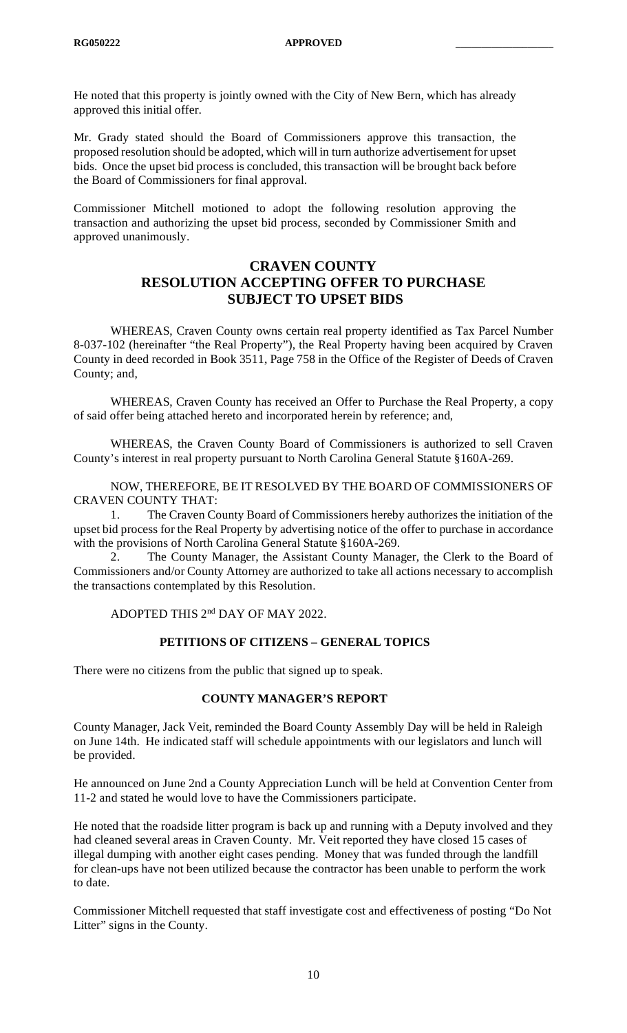He noted that this property is jointly owned with the City of New Bern, which has already approved this initial offer.

Mr. Grady stated should the Board of Commissioners approve this transaction, the proposed resolution should be adopted, which will in turn authorize advertisement for upset bids. Once the upset bid process is concluded, this transaction will be brought back before the Board of Commissioners for final approval.

Commissioner Mitchell motioned to adopt the following resolution approving the transaction and authorizing the upset bid process, seconded by Commissioner Smith and approved unanimously.

# **CRAVEN COUNTY RESOLUTION ACCEPTING OFFER TO PURCHASE SUBJECT TO UPSET BIDS**

WHEREAS, Craven County owns certain real property identified as Tax Parcel Number 8-037-102 (hereinafter "the Real Property"), the Real Property having been acquired by Craven County in deed recorded in Book 3511, Page 758 in the Office of the Register of Deeds of Craven County; and,

WHEREAS, Craven County has received an Offer to Purchase the Real Property, a copy of said offer being attached hereto and incorporated herein by reference; and,

WHEREAS, the Craven County Board of Commissioners is authorized to sell Craven County's interest in real property pursuant to North Carolina General Statute §160A-269.

NOW, THEREFORE, BE IT RESOLVED BY THE BOARD OF COMMISSIONERS OF CRAVEN COUNTY THAT:

1. The Craven County Board of Commissioners hereby authorizes the initiation of the upset bid process for the Real Property by advertising notice of the offer to purchase in accordance with the provisions of North Carolina General Statute §160A-269.

2. The County Manager, the Assistant County Manager, the Clerk to the Board of Commissioners and/or County Attorney are authorized to take all actions necessary to accomplish the transactions contemplated by this Resolution.

## ADOPTED THIS 2nd DAY OF MAY 2022.

#### **PETITIONS OF CITIZENS – GENERAL TOPICS**

There were no citizens from the public that signed up to speak.

#### **COUNTY MANAGER'S REPORT**

County Manager, Jack Veit, reminded the Board County Assembly Day will be held in Raleigh on June 14th. He indicated staff will schedule appointments with our legislators and lunch will be provided.

He announced on June 2nd a County Appreciation Lunch will be held at Convention Center from 11-2 and stated he would love to have the Commissioners participate.

He noted that the roadside litter program is back up and running with a Deputy involved and they had cleaned several areas in Craven County. Mr. Veit reported they have closed 15 cases of illegal dumping with another eight cases pending. Money that was funded through the landfill for clean-ups have not been utilized because the contractor has been unable to perform the work to date.

Commissioner Mitchell requested that staff investigate cost and effectiveness of posting "Do Not Litter" signs in the County.